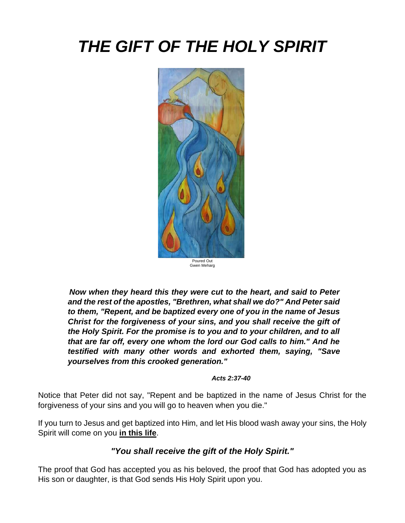# *THE GIFT OF THE HOLY SPIRIT*



*Now when they heard this they were cut to the heart, and said to Peter and the rest of the apostles, "Brethren, what shall we do?" And Peter said to them, "Repent, and be baptized every one of you in the name of Jesus Christ for the forgiveness of your sins, and you shall receive the gift of the Holy Spirit. For the promise is to you and to your children, and to all that are far off, every one whom the lord our God calls to him." And he testified with many other words and exhorted them, saying, "Save yourselves from this crooked generation."*

#### *Acts 2:37-40*

Notice that Peter did not say, "Repent and be baptized in the name of Jesus Christ for the forgiveness of your sins and you will go to heaven when you die."

If you turn to Jesus and get baptized into Him, and let His blood wash away your sins, the Holy Spirit will come on you **in this life**.

### *"You shall receive the gift of the Holy Spirit."*

The proof that God has accepted you as his beloved, the proof that God has adopted you as His son or daughter, is that God sends His Holy Spirit upon you.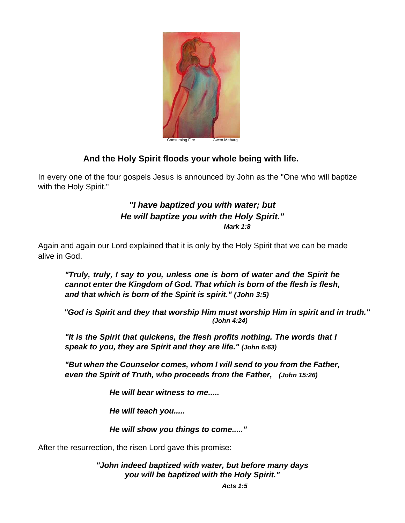

#### Consuming Fire **Gwen Mehard**

#### **And the Holy Spirit floods your whole being with life.**

In every one of the four gospels Jesus is announced by John as the "One who will baptize with the Holy Spirit."

#### *"I have baptized you with water; but He will baptize you with the Holy Spirit." Mark 1:8*

Again and again our Lord explained that it is only by the Holy Spirit that we can be made alive in God.

*"Truly, truly, I say to you, unless one is born of water and the Spirit he cannot enter the Kingdom of God. That which is born of the flesh is flesh, and that which is born of the Spirit is spirit." (John 3:5)*

*"God is Spirit and they that worship Him must worship Him in spirit and in truth." (John 4:24)*

*"It is the Spirit that quickens, the flesh profits nothing. The words that I speak to you, they are Spirit and they are life." (John 6:63)*

*"But when the Counselor comes, whom I will send to you from the Father, even the Spirit of Truth, who proceeds from the Father, (John 15:26)*

*He will bear witness to me.....*

*He will teach you.....*

*He will show you things to come....."*

After the resurrection, the risen Lord gave this promise:

*"John indeed baptized with water, but before many days you will be baptized with the Holy Spirit."* 

*Acts 1:5*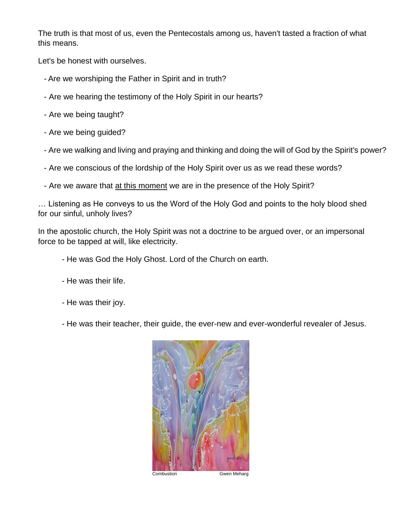The truth is that most of us, even the Pentecostals among us, haven't tasted a fraction of what this means.

Let's be honest with ourselves.

- Are we worshiping the Father in Spirit and in truth?
- Are we hearing the testimony of the Holy Spirit in our hearts?
- Are we being taught?
- Are we being guided?
- Are we walking and living and praying and thinking and doing the will of God by the Spirit's power?
- Are we conscious of the lordship of the Holy Spirit over us as we read these words?
- Are we aware that at this moment we are in the presence of the Holy Spirit?

… Listening as He conveys to us the Word of the Holy God and points to the holy blood shed for our sinful, unholy lives?

In the apostolic church, the Holy Spirit was not a doctrine to be argued over, or an impersonal force to be tapped at will, like electricity.

- He was God the Holy Ghost. Lord of the Church on earth.
- He was their life.
- He was their joy.
- He was their teacher, their guide, the ever-new and ever-wonderful revealer of Jesus.



Combustion **Gwen Meharg**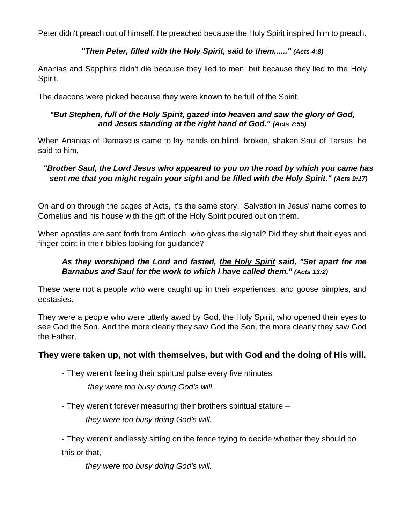Peter didn't preach out of himself. He preached because the Holy Spirit inspired him to preach.

#### *"Then Peter, filled with the Holy Spirit, said to them......" (Acts 4:8)*

Ananias and Sapphira didn't die because they lied to men, but because they lied to the Holy Spirit.

The deacons were picked because they were known to be full of the Spirit.

#### *"But Stephen, full of the Holy Spirit, gazed into heaven and saw the glory of God, and Jesus standing at the right hand of God." (Acts 7:55)*

When Ananias of Damascus came to lay hands on blind, broken, shaken Saul of Tarsus, he said to him,

#### *"Brother Saul, the Lord Jesus who appeared to you on the road by which you came has sent me that you might regain your sight and be filled with the Holy Spirit." (Acts 9:17)*

On and on through the pages of Acts, it's the same story. Salvation in Jesus' name comes to Cornelius and his house with the gift of the Holy Spirit poured out on them.

When apostles are sent forth from Antioch, who gives the signal? Did they shut their eyes and finger point in their bibles looking for guidance?

#### *As they worshiped the Lord and fasted, the Holy Spirit said, "Set apart for me Barnabus and Saul for the work to which I have called them." (Acts 13:2)*

These were not a people who were caught up in their experiences, and goose pimples, and ecstasies.

They were a people who were utterly awed by God, the Holy Spirit, who opened their eyes to see God the Son. And the more clearly they saw God the Son, the more clearly they saw God the Father.

#### **They were taken up, not with themselves, but with God and the doing of His will.**

- They weren't feeling their spiritual pulse every five minutes

*they were too busy doing God's will.*

- They weren't forever measuring their brothers spiritual stature –

*they were too busy doing God's will.*

- They weren't endlessly sitting on the fence trying to decide whether they should do this or that,

*they were too busy doing God's will.*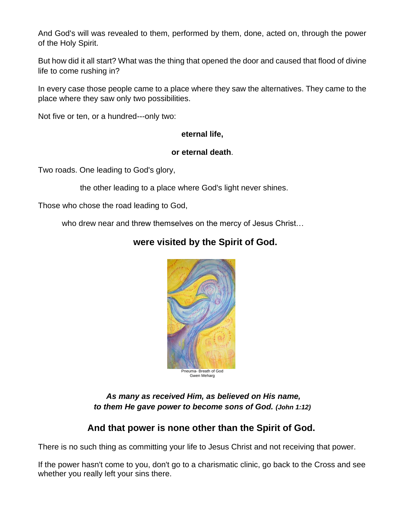And God's will was revealed to them, performed by them, done, acted on, through the power of the Holy Spirit.

But how did it all start? What was the thing that opened the door and caused that flood of divine life to come rushing in?

In every case those people came to a place where they saw the alternatives. They came to the place where they saw only two possibilities.

Not five or ten, or a hundred---only two:

#### **eternal life,**

#### **or eternal death**.

Two roads. One leading to God's glory,

the other leading to a place where God's light never shines.

Those who chose the road leading to God,

who drew near and threw themselves on the mercy of Jesus Christ…

# **were visited by the Spirit of God.**



*As many as received Him, as believed on His name, to them He gave power to become sons of God. (John 1:12)*

# **And that power is none other than the Spirit of God.**

There is no such thing as committing your life to Jesus Christ and not receiving that power.

If the power hasn't come to you, don't go to a charismatic clinic, go back to the Cross and see whether you really left your sins there.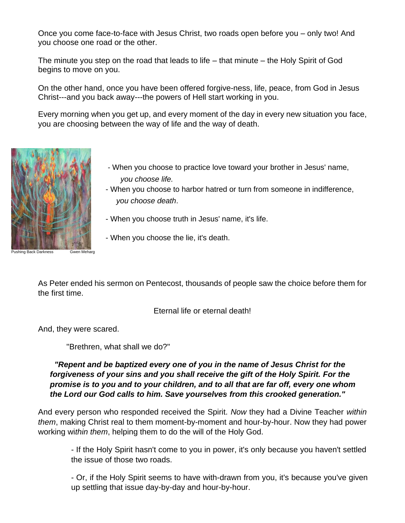Once you come face-to-face with Jesus Christ, two roads open before you – only two! And you choose one road or the other.

The minute you step on the road that leads to life – that minute – the Holy Spirit of God begins to move on you.

On the other hand, once you have been offered forgive-ness, life, peace, from God in Jesus Christ---and you back away---the powers of Hell start working in you.

Every morning when you get up, and every moment of the day in every new situation you face, you are choosing between the way of life and the way of death.



Pushing Back Darkness Gwen Meharg

- When you choose to practice love toward your brother in Jesus' name,  *you choose life.*
- When you choose to harbor hatred or turn from someone in indifference,  *you choose death*.
- When you choose truth in Jesus' name, it's life.
- When you choose the lie, it's death.

As Peter ended his sermon on Pentecost, thousands of people saw the choice before them for the first time.

Eternal life or eternal death!

And, they were scared.

"Brethren, what shall we do?"

#### *"Repent and be baptized every one of you in the name of Jesus Christ for the forgiveness of your sins and you shall receive the gift of the Holy Spirit. For the promise is to you and to your children, and to all that are far off, every one whom the Lord our God calls to him. Save yourselves from this crooked generation."*

And every person who responded received the Spirit. *Now* they had a Divine Teacher *within them*, making Christ real to them moment-by-moment and hour-by-hour. Now they had power working wi*thin them*, helping them to do the will of the Holy God.

- If the Holy Spirit hasn't come to you in power, it's only because you haven't settled the issue of those two roads.

- Or, if the Holy Spirit seems to have with-drawn from you, it's because you've given up settling that issue day-by-day and hour-by-hour.